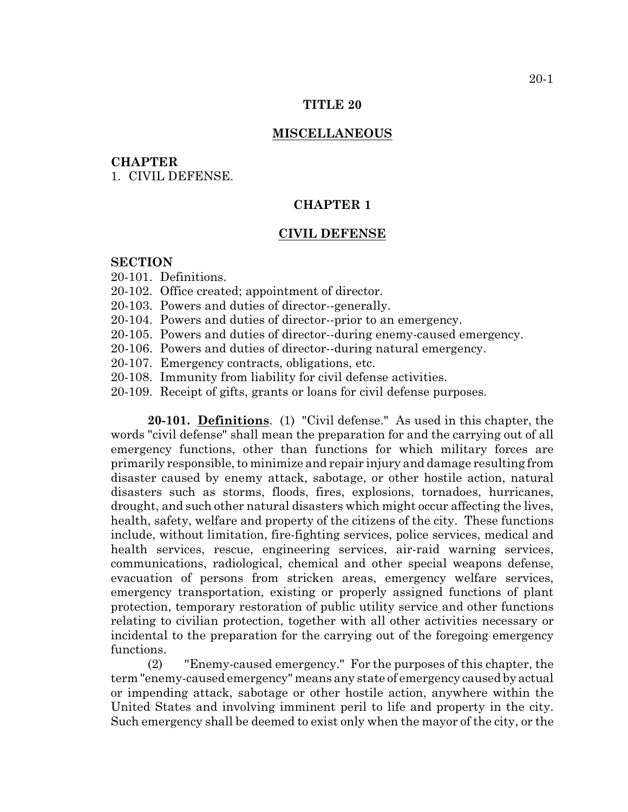#### **TITLE 20**

### **MISCELLANEOUS**

#### **CHAPTER**

1. CIVIL DEFENSE.

# **CHAPTER 1**

### **CIVIL DEFENSE**

# **SECTION**

- 20-101. Definitions.
- 20-102. Office created; appointment of director.
- 20-103. Powers and duties of director--generally.
- 20-104. Powers and duties of director--prior to an emergency.
- 20-105. Powers and duties of director--during enemy-caused emergency.
- 20-106. Powers and duties of director--during natural emergency.
- 20-107. Emergency contracts, obligations, etc.
- 20-108. Immunity from liability for civil defense activities.
- 20-109. Receipt of gifts, grants or loans for civil defense purposes.

**20-101. Definitions**. (1) "Civil defense." As used in this chapter, the words "civil defense" shall mean the preparation for and the carrying out of all emergency functions, other than functions for which military forces are primarily responsible, to minimize and repair injury and damage resulting from disaster caused by enemy attack, sabotage, or other hostile action, natural disasters such as storms, floods, fires, explosions, tornadoes, hurricanes, drought, and such other natural disasters which might occur affecting the lives, health, safety, welfare and property of the citizens of the city. These functions include, without limitation, fire-fighting services, police services, medical and health services, rescue, engineering services, air-raid warning services, communications, radiological, chemical and other special weapons defense, evacuation of persons from stricken areas, emergency welfare services, emergency transportation, existing or properly assigned functions of plant protection, temporary restoration of public utility service and other functions relating to civilian protection, together with all other activities necessary or incidental to the preparation for the carrying out of the foregoing emergency functions.

(2) "Enemy-caused emergency." For the purposes of this chapter, the term "enemy-caused emergency" means any state of emergency caused by actual or impending attack, sabotage or other hostile action, anywhere within the United States and involving imminent peril to life and property in the city. Such emergency shall be deemed to exist only when the mayor of the city, or the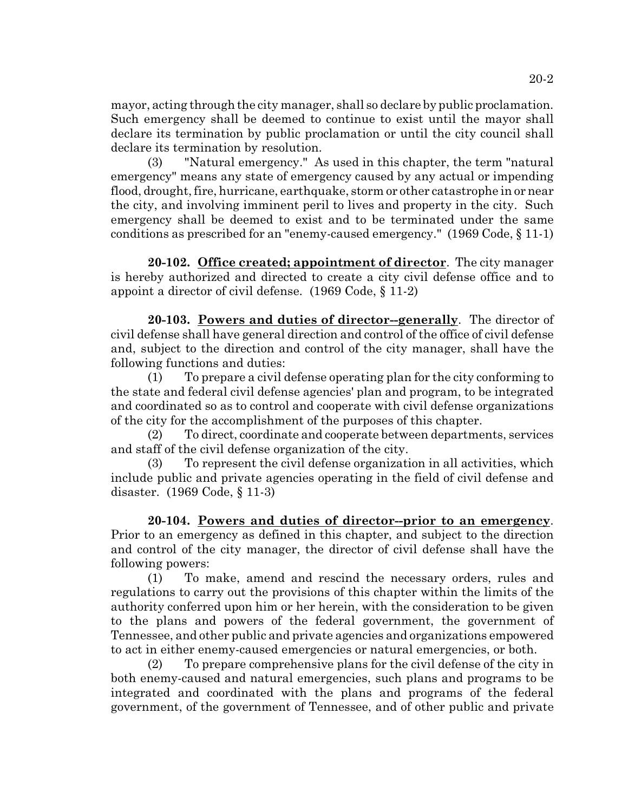mayor, acting through the city manager, shall so declare by public proclamation. Such emergency shall be deemed to continue to exist until the mayor shall declare its termination by public proclamation or until the city council shall declare its termination by resolution.

(3) "Natural emergency." As used in this chapter, the term "natural emergency" means any state of emergency caused by any actual or impending flood, drought, fire, hurricane, earthquake, storm or other catastrophe in or near the city, and involving imminent peril to lives and property in the city. Such emergency shall be deemed to exist and to be terminated under the same conditions as prescribed for an "enemy-caused emergency." (1969 Code, § 11-1)

**20-102. Office created; appointment of director**. The city manager is hereby authorized and directed to create a city civil defense office and to appoint a director of civil defense. (1969 Code, § 11-2)

**20-103. Powers and duties of director--generally**. The director of civil defense shall have general direction and control of the office of civil defense and, subject to the direction and control of the city manager, shall have the following functions and duties:

(1) To prepare a civil defense operating plan for the city conforming to the state and federal civil defense agencies' plan and program, to be integrated and coordinated so as to control and cooperate with civil defense organizations of the city for the accomplishment of the purposes of this chapter.

(2) To direct, coordinate and cooperate between departments, services and staff of the civil defense organization of the city.

(3) To represent the civil defense organization in all activities, which include public and private agencies operating in the field of civil defense and disaster. (1969 Code, § 11-3)

**20-104. Powers and duties of director--prior to an emergency**. Prior to an emergency as defined in this chapter, and subject to the direction and control of the city manager, the director of civil defense shall have the following powers:

(1) To make, amend and rescind the necessary orders, rules and regulations to carry out the provisions of this chapter within the limits of the authority conferred upon him or her herein, with the consideration to be given to the plans and powers of the federal government, the government of Tennessee, and other public and private agencies and organizations empowered to act in either enemy-caused emergencies or natural emergencies, or both.

(2) To prepare comprehensive plans for the civil defense of the city in both enemy-caused and natural emergencies, such plans and programs to be integrated and coordinated with the plans and programs of the federal government, of the government of Tennessee, and of other public and private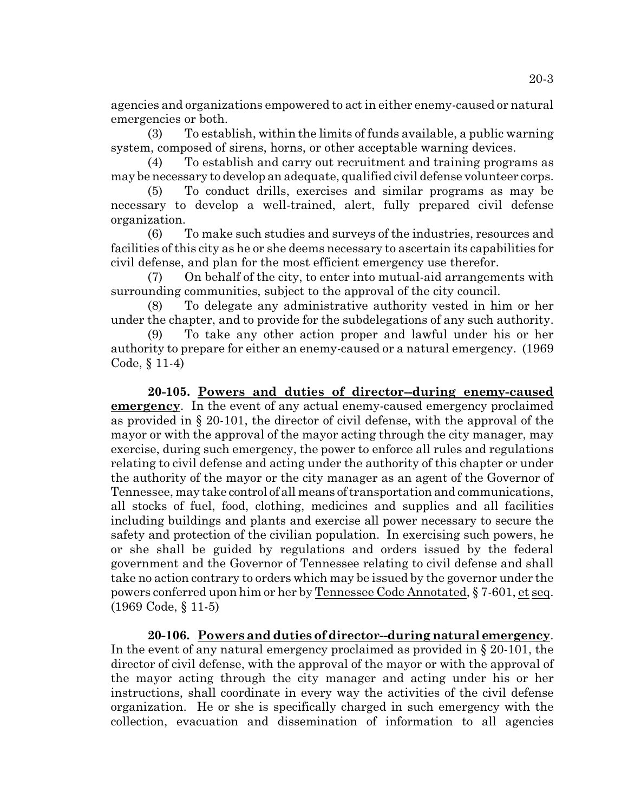agencies and organizations empowered to act in either enemy-caused or natural emergencies or both.

(3) To establish, within the limits of funds available, a public warning system, composed of sirens, horns, or other acceptable warning devices.

(4) To establish and carry out recruitment and training programs as may be necessary to develop an adequate, qualified civil defense volunteer corps.

(5) To conduct drills, exercises and similar programs as may be necessary to develop a well-trained, alert, fully prepared civil defense organization.

(6) To make such studies and surveys of the industries, resources and facilities of this city as he or she deems necessary to ascertain its capabilities for civil defense, and plan for the most efficient emergency use therefor.

(7) On behalf of the city, to enter into mutual-aid arrangements with surrounding communities, subject to the approval of the city council.

(8) To delegate any administrative authority vested in him or her under the chapter, and to provide for the subdelegations of any such authority.

(9) To take any other action proper and lawful under his or her authority to prepare for either an enemy-caused or a natural emergency. (1969 Code, § 11-4)

**20-105. Powers and duties of director--during enemy-caused emergency**. In the event of any actual enemy-caused emergency proclaimed as provided in § 20-101, the director of civil defense, with the approval of the mayor or with the approval of the mayor acting through the city manager, may exercise, during such emergency, the power to enforce all rules and regulations relating to civil defense and acting under the authority of this chapter or under the authority of the mayor or the city manager as an agent of the Governor of Tennessee, may take control of all means of transportation and communications, all stocks of fuel, food, clothing, medicines and supplies and all facilities including buildings and plants and exercise all power necessary to secure the safety and protection of the civilian population. In exercising such powers, he or she shall be guided by regulations and orders issued by the federal government and the Governor of Tennessee relating to civil defense and shall take no action contrary to orders which may be issued by the governor under the powers conferred upon him or her by Tennessee Code Annotated, § 7-601, et seq. (1969 Code, § 11-5)

**20-106. Powers and duties of director--during natural emergency**. In the event of any natural emergency proclaimed as provided in § 20-101, the director of civil defense, with the approval of the mayor or with the approval of the mayor acting through the city manager and acting under his or her instructions, shall coordinate in every way the activities of the civil defense organization. He or she is specifically charged in such emergency with the collection, evacuation and dissemination of information to all agencies